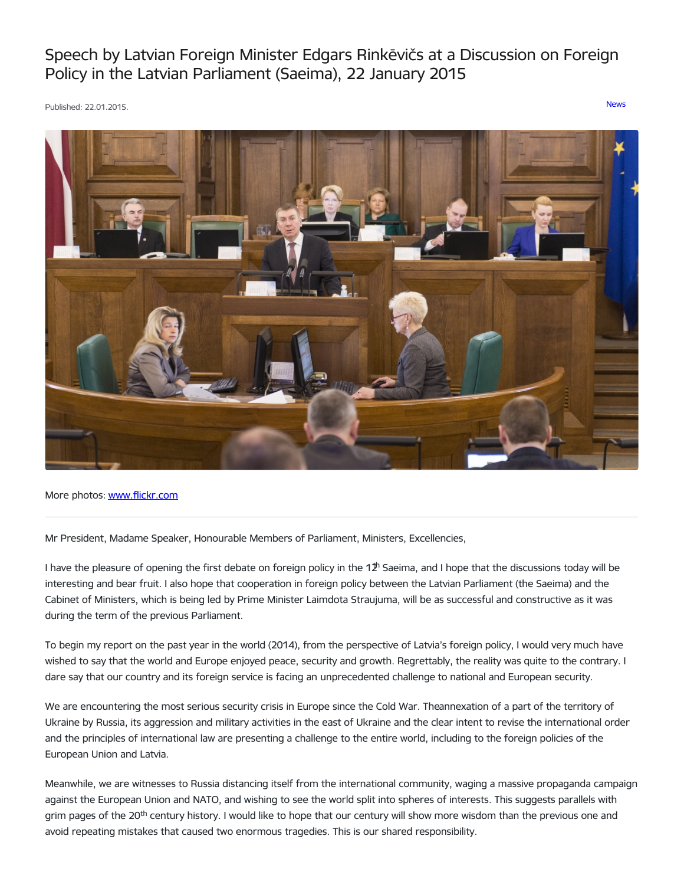## Speech by Latvian Foreign Minister Edgars Rinkēvičs at a Discussion on Foreign Policy in the Latvian Parliament (Saeima), 22 January 2015

Published: 22.01.2015. [News](https://www.mfa.gov.lv/en/articles?category%255B253%255D=253)



More photos: [www.flickr.com](https://www.flickr.com/photos/latvianmfa/with/15717431344)

Mr President, Madame Speaker, Honourable Members of Parliament, Ministers, Excellencies,

I have the pleasure of opening the first debate on foreign policy in the 1 $2^{\text{h}}$  Saeima, and I hope that the discussions today will be interesting and bear fruit. I also hope that cooperation in foreign policy between the Latvian Parliament (the Saeima) and the Cabinet of Ministers, which is being led by Prime Minister Laimdota Straujuma, will be as successful and constructive as it was during the term of the previous Parliament.

To begin my report on the past year in the world (2014), from the perspective of Latvia's foreign policy, I would very much have wished to say that the world and Europe enjoyed peace, security and growth. Regrettably, the reality was quite to the contrary. I dare say that our country and its foreign service is facing an unprecedented challenge to national and European security.

We are encountering the most serious security crisis in Europe since the Cold War. Theannexation of a part of the territory of Ukraine by Russia, its aggression and military activities in the east of Ukraine and the clear intent to revise the international order and the principles of international law are presenting a challenge to the entire world, including to the foreign policies of the European Union and Latvia.

Meanwhile, we are witnesses to Russia distancing itself from the international community, waging a massive propaganda campaign against the European Union and NATO, and wishing to see the world split into spheres of interests. This suggests parallels with grim pages of the 20<sup>th</sup> century history. I would like to hope that our century will show more wisdom than the previous one and avoid repeating mistakes that caused two enormous tragedies. This is our shared responsibility.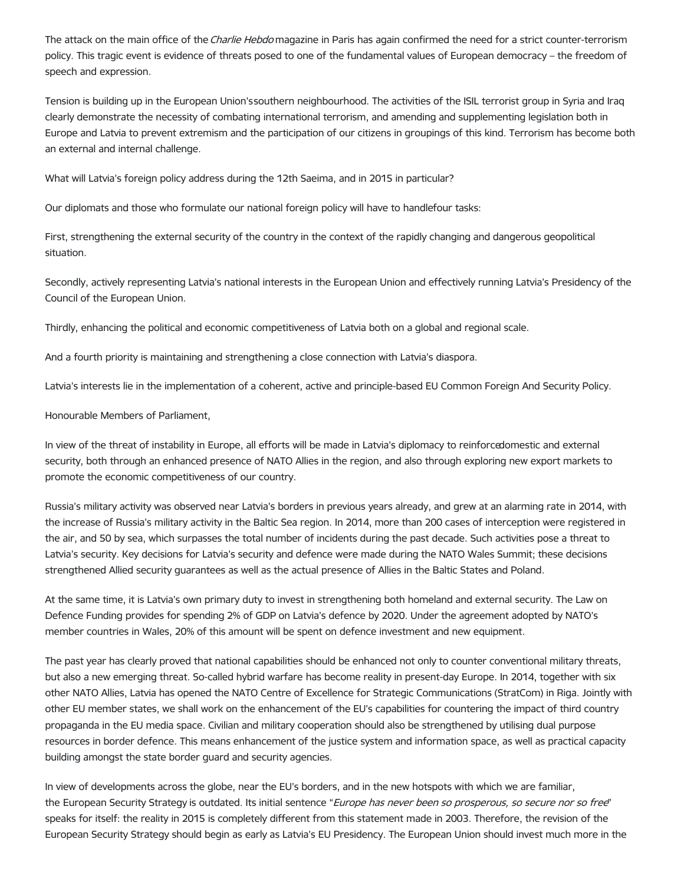The attack on the main office of the Charlie Hebdo magazine in Paris has again confirmed the need for a strict counter-terrorism policy. This tragic event is evidence of threats posed to one of the fundamental values of European democracy – the freedom of speech and expression.

Tension is building up in the European Union'ssouthern neighbourhood. The activities of the ISIL terrorist group in Syria and Iraq clearly demonstrate the necessity of combating international terrorism, and amending and supplementing legislation both in Europe and Latvia to prevent extremism and the participation of our citizens in groupings of this kind. Terrorism has become both an external and internal challenge.

What will Latvia's foreign policy address during the 12th Saeima, and in 2015 in particular?

Our diplomats and those who formulate our national foreign policy will have to handlefour tasks:

First, strengthening the external security of the country in the context of the rapidly changing and dangerous geopolitical situation.

Secondly, actively representing Latvia's national interests in the European Union and effectively running Latvia's Presidency of the Council of the European Union.

Thirdly, enhancing the political and economic competitiveness of Latvia both on a global and regional scale.

And a fourth priority is maintaining and strengthening a close connection with Latvia's diaspora.

Latvia's interests lie in the implementation of a coherent, active and principle-based EU Common Foreign And Security Policy.

Honourable Members of Parliament,

In view of the threat of instability in Europe, all efforts will be made in Latvia's diplomacy to reinforcedomestic and external security, both through an enhanced presence of NATO Allies in the region, and also through exploring new export markets to promote the economic competitiveness of our country.

Russia's military activity was observed near Latvia's borders in previous years already, and grew at an alarming rate in 2014, with the increase of Russia's military activity in the Baltic Sea region. In 2014, more than 200 cases of interception were registered in the air, and 50 by sea, which surpasses the total number of incidents during the past decade. Such activities pose a threat to Latvia's security. Key decisions for Latvia's security and defence were made during the NATO Wales Summit; these decisions strengthened Allied security guarantees as well as the actual presence of Allies in the Baltic States and Poland.

At the same time, it is Latvia's own primary duty to invest in strengthening both homeland and external security. The Law on Defence Funding provides for spending 2% of GDP on Latvia's defence by 2020. Under the agreement adopted by NATO's member countries in Wales, 20% of this amount will be spent on defence investment and new equipment.

The past year has clearly proved that national capabilities should be enhanced not only to counter conventional military threats, but also a new emerging threat. So-called hybrid warfare has become reality in present-day Europe. In 2014, together with six other NATO Allies, Latvia has opened the NATO Centre of Excellence for Strategic Communications (StratCom) in Riga. Jointly with other EU member states, we shall work on the enhancement of the EU's capabilities for countering the impact of third country propaganda in the EU media space. Civilian and military cooperation should also be strengthened by utilising dual purpose resources in border defence. This means enhancement of the justice system and information space, as well as practical capacity building amongst the state border guard and security agencies.

In view of developments across the globe, near the EU's borders, and in the new hotspots with which we are familiar, the European Security Strategy is outdated. Its initial sentence "Europe has never been so prosperous, so secure nor so free" speaks for itself: the reality in 2015 is completely different from this statement made in 2003. Therefore, the revision of the European Security Strategy should begin as early as Latvia's EU Presidency. The European Union should invest much more in the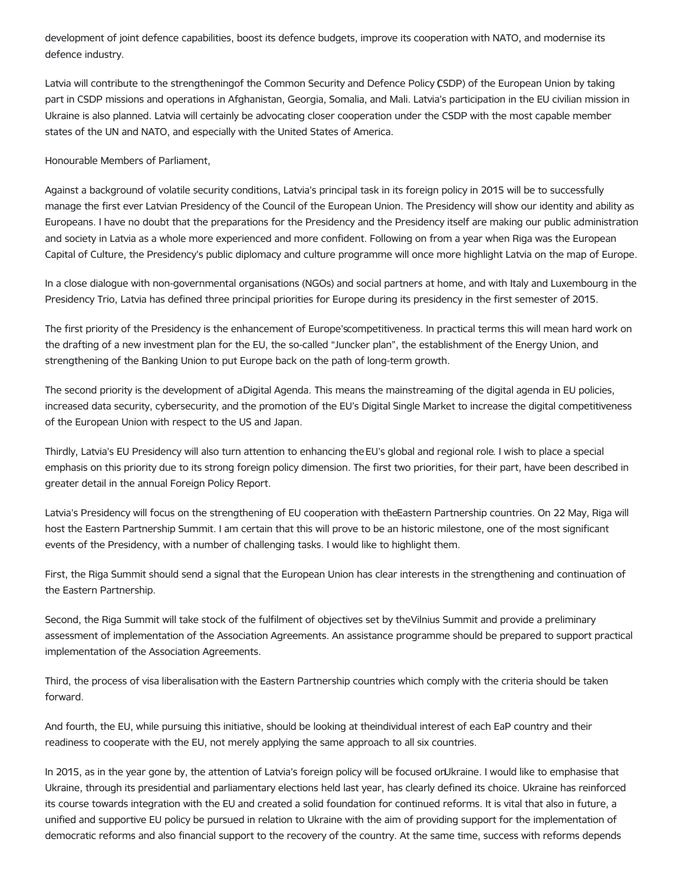development of joint defence capabilities, boost its defence budgets, improve its cooperation with NATO, and modernise its defence industry.

Latvia will contribute to the strengtheningof the Common Security and Defence Policy (SDP) of the European Union by taking part in CSDP missions and operations in Afghanistan, Georgia, Somalia, and Mali. Latvia's participation in the EU civilian mission in Ukraine is also planned. Latvia will certainly be advocating closer cooperation under the CSDP with the most capable member states of the UN and NATO, and especially with the United States of America.

Honourable Members of Parliament,

Against a background of volatile security conditions, Latvia's principal task in its foreign policy in 2015 will be to successfully manage the first ever Latvian Presidency of the Council of the European Union. The Presidency will show our identity and ability as Europeans. I have no doubt that the preparations for the Presidency and the Presidency itself are making our public administration and society in Latvia as a whole more experienced and more confident. Following on from a year when Riga was the European Capital of Culture, the Presidency's public diplomacy and culture programme will once more highlight Latvia on the map of Europe.

In a close dialogue with non-governmental organisations (NGOs) and social partners at home, and with Italy and Luxembourg in the Presidency Trio, Latvia has defined three principal priorities for Europe during its presidency in the first semester of 2015.

The first priority of the Presidency is the enhancement of Europe'scompetitiveness. In practical terms this will mean hard work on the drafting of a new investment plan for the EU, the so-called "Juncker plan", the establishment of the Energy Union, and strengthening of the Banking Union to put Europe back on the path of long-term growth.

The second priority is the development of aDigital Agenda. This means the mainstreaming of the digital agenda in EU policies, increased data security, cybersecurity, and the promotion of the EU's Digital Single Market to increase the digital competitiveness of the European Union with respect to the US and Japan.

Thirdly, Latvia's EU Presidency will also turn attention to enhancing the EU's global and regional role. I wish to place a special emphasis on this priority due to its strong foreign policy dimension. The first two priorities, for their part, have been described in greater detail in the annual Foreign Policy Report.

Latvia's Presidency will focus on the strengthening of EU cooperation with theEastern Partnership countries. On 22 May, Riga will host the Eastern Partnership Summit. I am certain that this will prove to be an historic milestone, one of the most significant events of the Presidency, with a number of challenging tasks. I would like to highlight them.

First, the Riga Summit should send a signal that the European Union has clear interests in the strengthening and continuation of the Eastern Partnership.

Second, the Riga Summit will take stock of the fulfilment of objectives set by theVilnius Summit and provide a preliminary assessment of implementation of the Association Agreements. An assistance programme should be prepared to support practical implementation of the Association Agreements.

Third, the process of visa liberalisation with the Eastern Partnership countries which comply with the criteria should be taken forward.

And fourth, the EU, while pursuing this initiative, should be looking at theindividual interest of each EaP country and their readiness to cooperate with the EU, not merely applying the same approach to all six countries.

In 2015, as in the year gone by, the attention of Latvia's foreign policy will be focused onUkraine. I would like to emphasise that Ukraine, through its presidential and parliamentary elections held last year, has clearly defined its choice. Ukraine has reinforced its course towards integration with the EU and created a solid foundation for continued reforms. It is vital that also in future, a unified and supportive EU policy be pursued in relation to Ukraine with the aim of providing support for the implementation of democratic reforms and also financial support to the recovery of the country. At the same time, success with reforms depends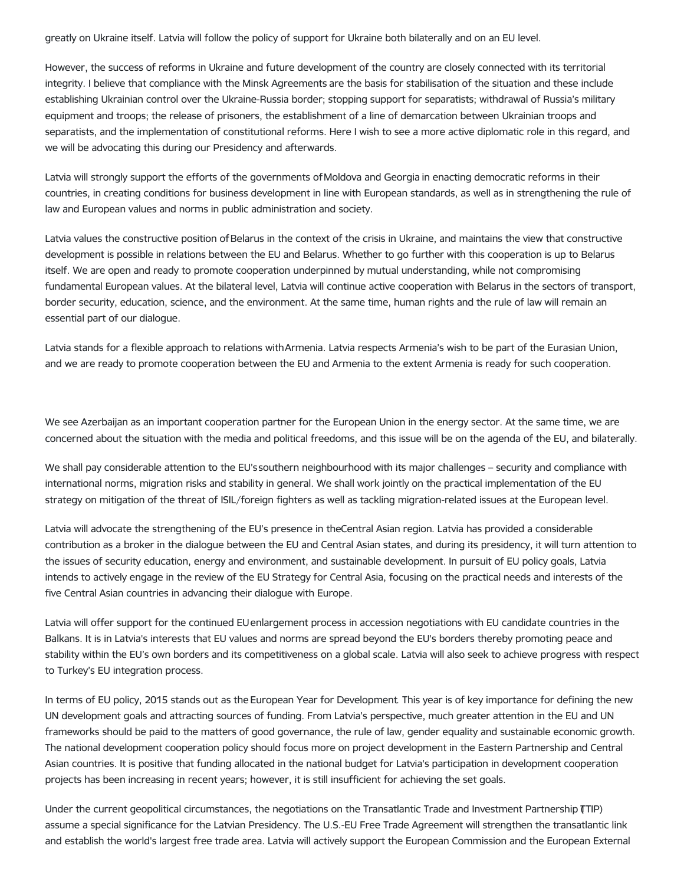greatly on Ukraine itself. Latvia will follow the policy of support for Ukraine both bilaterally and on an EU level.

However, the success of reforms in Ukraine and future development of the country are closely connected with its territorial integrity. I believe that compliance with the Minsk Agreements are the basis for stabilisation of the situation and these include establishing Ukrainian control over the Ukraine-Russia border; stopping support for separatists; withdrawal of Russia's military equipment and troops; the release of prisoners, the establishment of a line of demarcation between Ukrainian troops and separatists, and the implementation of constitutional reforms. Here I wish to see a more active diplomatic role in this regard, and we will be advocating this during our Presidency and afterwards.

Latvia will strongly support the efforts of the governments ofMoldova and Georgia in enacting democratic reforms in their countries, in creating conditions for business development in line with European standards, as well as in strengthening the rule of law and European values and norms in public administration and society.

Latvia values the constructive position of Belarus in the context of the crisis in Ukraine, and maintains the view that constructive development is possible in relations between the EU and Belarus. Whether to go further with this cooperation is up to Belarus itself. We are open and ready to promote cooperation underpinned by mutual understanding, while not compromising fundamental European values. At the bilateral level, Latvia will continue active cooperation with Belarus in the sectors of transport, border security, education, science, and the environment. At the same time, human rights and the rule of law will remain an essential part of our dialogue.

Latvia stands for a flexible approach to relations withArmenia. Latvia respects Armenia's wish to be part of the Eurasian Union, and we are ready to promote cooperation between the EU and Armenia to the extent Armenia is ready for such cooperation.

We see Azerbaijan as an important cooperation partner for the European Union in the energy sector. At the same time, we are concerned about the situation with the media and political freedoms, and this issue will be on the agenda of the EU, and bilaterally.

We shall pay considerable attention to the EU'ssouthern neighbourhood with its major challenges – security and compliance with international norms, migration risks and stability in general. We shall work jointly on the practical implementation of the EU strategy on mitigation of the threat of ISIL/foreign fighters as well as tackling migration-related issues at the European level.

Latvia will advocate the strengthening of the EU's presence in theCentral Asian region. Latvia has provided a considerable contribution as a broker in the dialogue between the EU and Central Asian states, and during its presidency, it will turn attention to the issues of security education, energy and environment, and sustainable development. In pursuit of EU policy goals, Latvia intends to actively engage in the review of the EU Strategy for Central Asia, focusing on the practical needs and interests of the five Central Asian countries in advancing their dialogue with Europe.

Latvia will offer support for the continued EUenlargement process in accession negotiations with EU candidate countries in the Balkans. It is in Latvia's interests that EU values and norms are spread beyond the EU's borders thereby promoting peace and stability within the EU's own borders and its competitiveness on a global scale. Latvia will also seek to achieve progress with respect to Turkey's EU integration process.

In terms of EU policy, 2015 stands out as the European Year for Development. This year is of key importance for defining the new UN development goals and attracting sources of funding. From Latvia's perspective, much greater attention in the EU and UN frameworks should be paid to the matters of good governance, the rule of law, gender equality and sustainable economic growth. The national development cooperation policy should focus more on project development in the Eastern Partnership and Central Asian countries. It is positive that funding allocated in the national budget for Latvia's participation in development cooperation projects has been increasing in recent years; however, it is still insufficient for achieving the set goals.

Under the current geopolitical circumstances, the negotiations on the Transatlantic Trade and Investment Partnership (TIP) assume a special significance for the Latvian Presidency. The U.S.-EU Free Trade Agreement will strengthen the transatlantic link and establish the world's largest free trade area. Latvia will actively support the European Commission and the European External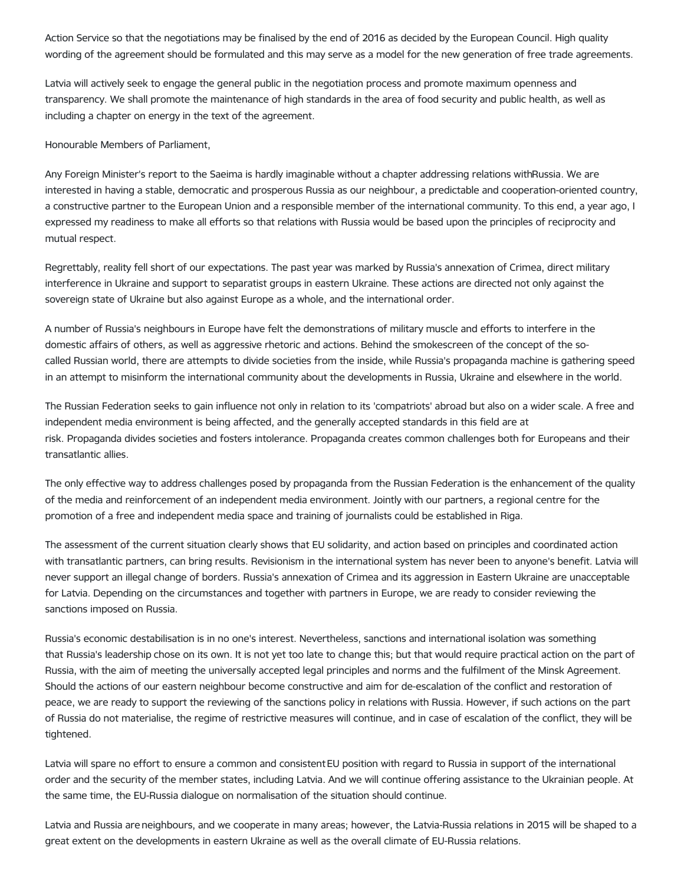Action Service so that the negotiations may be finalised by the end of 2016 as decided by the European Council. High quality wording of the agreement should be formulated and this may serve as a model for the new generation of free trade agreements.

Latvia will actively seek to engage the general public in the negotiation process and promote maximum openness and transparency. We shall promote the maintenance of high standards in the area of food security and public health, as well as including a chapter on energy in the text of the agreement.

Honourable Members of Parliament,

Any Foreign Minister's report to the Saeima is hardly imaginable without a chapter addressing relations withRussia. We are interested in having a stable, democratic and prosperous Russia as our neighbour, a predictable and cooperation-oriented country, a constructive partner to the European Union and a responsible member of the international community. To this end, a year ago, I expressed my readiness to make all efforts so that relations with Russia would be based upon the principles of reciprocity and mutual respect.

Regrettably, reality fell short of our expectations. The past year was marked by Russia's annexation of Crimea, direct military interference in Ukraine and support to separatist groups in eastern Ukraine. These actions are directed not only against the sovereign state of Ukraine but also against Europe as a whole, and the international order.

A number of Russia's neighbours in Europe have felt the demonstrations of military muscle and efforts to interfere in the domestic affairs of others, as well as aggressive rhetoric and actions. Behind the smokescreen of the concept of the socalled Russian world, there are attempts to divide societies from the inside, while Russia's propaganda machine is gathering speed in an attempt to misinform the international community about the developments in Russia, Ukraine and elsewhere in the world.

The Russian Federation seeks to gain influence not only in relation to its 'compatriots' abroad but also on a wider scale. A free and independent media environment is being affected, and the generally accepted standards in this field are at risk. Propaganda divides societies and fosters intolerance. Propaganda creates common challenges both for Europeans and their transatlantic allies.

The only effective way to address challenges posed by propaganda from the Russian Federation is the enhancement of the quality of the media and reinforcement of an independent media environment. Jointly with our partners, a regional centre for the promotion of a free and independent media space and training of journalists could be established in Riga.

The assessment of the current situation clearly shows that EU solidarity, and action based on principles and coordinated action with transatlantic partners, can bring results. Revisionism in the international system has never been to anyone's benefit. Latvia will never support an illegal change of borders. Russia's annexation of Crimea and its aggression in Eastern Ukraine are unacceptable for Latvia. Depending on the circumstances and together with partners in Europe, we are ready to consider reviewing the sanctions imposed on Russia.

Russia's economic destabilisation is in no one's interest. Nevertheless, sanctions and international isolation was something that Russia's leadership chose on its own. It is not yet too late to change this; but that would require practical action on the part of Russia, with the aim of meeting the universally accepted legal principles and norms and the fulfilment of the Minsk Agreement. Should the actions of our eastern neighbour become constructive and aim for de-escalation of the conflict and restoration of peace, we are ready to support the reviewing of the sanctions policy in relations with Russia. However, if such actions on the part of Russia do not materialise, the regime of restrictive measures will continue, and in case of escalation of the conflict, they will be tightened.

Latvia will spare no effort to ensure a common and consistent EU position with regard to Russia in support of the international order and the security of the member states, including Latvia. And we will continue offering assistance to the Ukrainian people. At the same time, the EU-Russia dialogue on normalisation of the situation should continue.

Latvia and Russia are neighbours, and we cooperate in many areas; however, the Latvia-Russia relations in 2015 will be shaped to a great extent on the developments in eastern Ukraine as well as the overall climate of EU-Russia relations.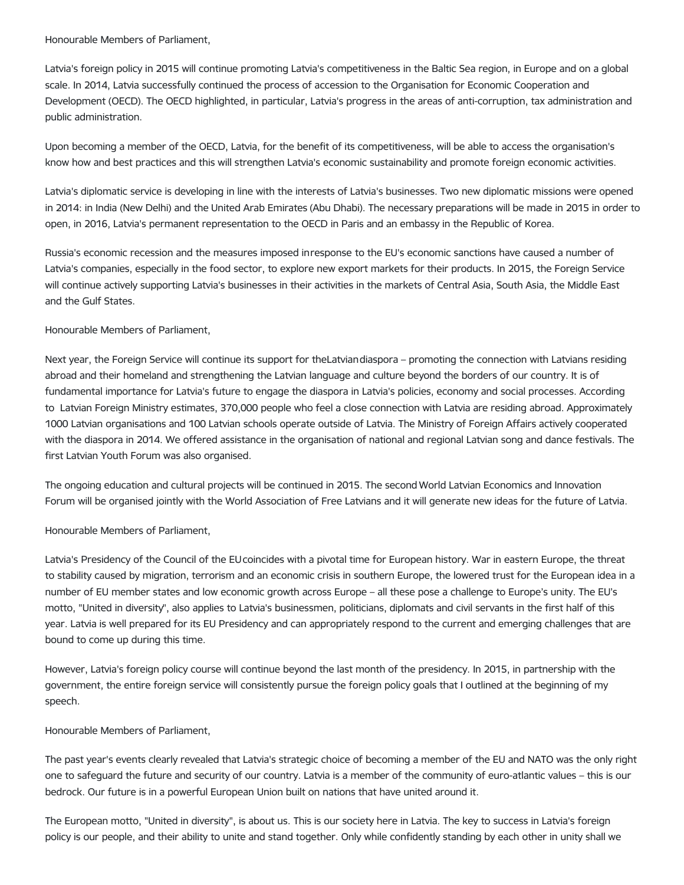Honourable Members of Parliament,

Latvia's foreign policy in 2015 will continue promoting Latvia's competitiveness in the Baltic Sea region, in Europe and on a global scale. In 2014, Latvia successfully continued the process of accession to the Organisation for Economic Cooperation and Development (OECD). The OECD highlighted, in particular, Latvia's progress in the areas of anti-corruption, tax administration and public administration.

Upon becoming a member of the OECD, Latvia, for the benefit of its competitiveness, will be able to access the organisation's know how and best practices and this will strengthen Latvia's economic sustainability and promote foreign economic activities.

Latvia's diplomatic service is developing in line with the interests of Latvia's businesses. Two new diplomatic missions were opened in 2014: in India (New Delhi) and the United Arab Emirates (Abu Dhabi). The necessary preparations will be made in 2015 in order to open, in 2016, Latvia's permanent representation to the OECD in Paris and an embassy in the Republic of Korea.

Russia's economic recession and the measures imposed inresponse to the EU's economic sanctions have caused a number of Latvia's companies, especially in the food sector, to explore new export markets for their products. In 2015, the Foreign Service will continue actively supporting Latvia's businesses in their activities in the markets of Central Asia, South Asia, the Middle East and the Gulf States.

## Honourable Members of Parliament,

Next year, the Foreign Service will continue its support for theLatviandiaspora – promoting the connection with Latvians residing abroad and their homeland and strengthening the Latvian language and culture beyond the borders of our country. It is of fundamental importance for Latvia's future to engage the diaspora in Latvia's policies, economy and social processes. According to Latvian Foreign Ministry estimates, 370,000 people who feel a close connection with Latvia are residing abroad. Approximately 1000 Latvian organisations and 100 Latvian schools operate outside of Latvia. The Ministry of Foreign Affairs actively cooperated with the diaspora in 2014. We offered assistance in the organisation of national and regional Latvian song and dance festivals. The first Latvian Youth Forum was also organised.

The ongoing education and cultural projects will be continued in 2015. The second World Latvian Economics and Innovation Forum will be organised jointly with the World Association of Free Latvians and it will generate new ideas for the future of Latvia.

Honourable Members of Parliament,

Latvia's Presidency of the Council of the EUcoincides with a pivotal time for European history. War in eastern Europe, the threat to stability caused by migration, terrorism and an economic crisis in southern Europe, the lowered trust for the European idea in a number of EU member states and low economic growth across Europe – all these pose a challenge to Europe's unity. The EU's motto, "United in diversity", also applies to Latvia's businessmen, politicians, diplomats and civil servants in the first half of this year. Latvia is well prepared for its EU Presidency and can appropriately respond to the current and emerging challenges that are bound to come up during this time.

However, Latvia's foreign policy course will continue beyond the last month of the presidency. In 2015, in partnership with the government, the entire foreign service will consistently pursue the foreign policy goals that I outlined at the beginning of my speech.

## Honourable Members of Parliament,

The past year's events clearly revealed that Latvia's strategic choice of becoming a member of the EU and NATO was the only right one to safeguard the future and security of our country. Latvia is a member of the community of euro-atlantic values – this is our bedrock. Our future is in a powerful European Union built on nations that have united around it.

The European motto, "United in diversity", is about us. This is our society here in Latvia. The key to success in Latvia's foreign policy is our people, and their ability to unite and stand together. Only while confidently standing by each other in unity shall we